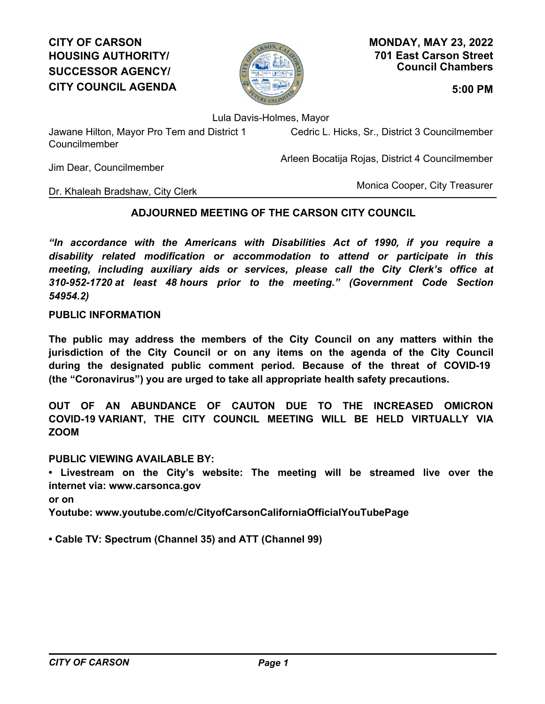# **CITY OF CARSON HOUSING AUTHORITY/ SUCCESSOR AGENCY/ CITY COUNCIL AGENDA 5:00 PM**



**701 East Carson Street Council Chambers MONDAY, MAY 23, 2022**

Lula Davis-Holmes, Mayor

Jawane Hilton, Mayor Pro Tem and District 1 Councilmember

Cedric L. Hicks, Sr., District 3 Councilmember

Arleen Bocatija Rojas, District 4 Councilmember

Jim Dear, Councilmember

Monica Cooper, City Treasurer

## Dr. Khaleah Bradshaw, City Clerk

## **ADJOURNED MEETING OF THE CARSON CITY COUNCIL**

*"In accordance with the Americans with Disabilities Act of 1990, if you require a disability related modification or accommodation to attend or participate in this meeting, including auxiliary aids or services, please call the City Clerk's office at 310-952-1720 at least 48 hours prior to the meeting." (Government Code Section 54954.2)*

## **PUBLIC INFORMATION**

**The public may address the members of the City Council on any matters within the jurisdiction of the City Council or on any items on the agenda of the City Council during the designated public comment period. Because of the threat of COVID-19 (the "Coronavirus") you are urged to take all appropriate health safety precautions.**

**OUT OF AN ABUNDANCE OF CAUTON DUE TO THE INCREASED OMICRON COVID-19 VARIANT, THE CITY COUNCIL MEETING WILL BE HELD VIRTUALLY VIA ZOOM**

**PUBLIC VIEWING AVAILABLE BY:**

**• Livestream on the City's website: The meeting will be streamed live over the internet via: www.carsonca.gov** 

**or on** 

**Youtube: www.youtube.com/c/CityofCarsonCaliforniaOfficialYouTubePage**

**• Cable TV: Spectrum (Channel 35) and ATT (Channel 99)**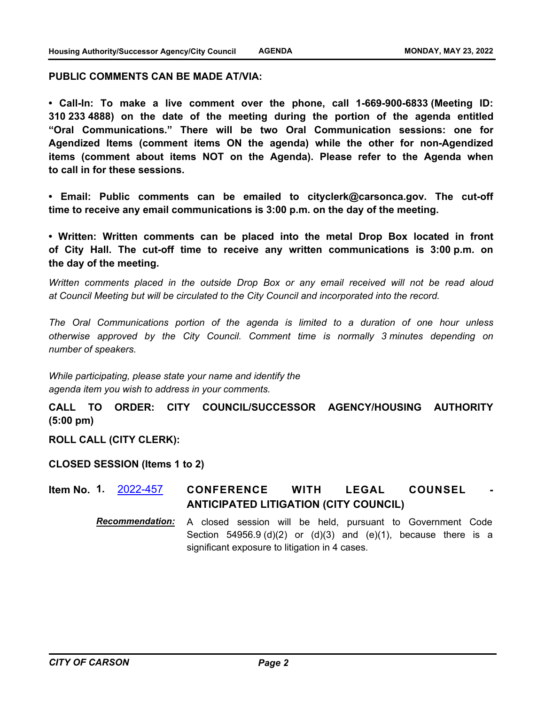#### **PUBLIC COMMENTS CAN BE MADE AT/VIA:**

**• Call-In: To make a live comment over the phone, call 1-669-900-6833 (Meeting ID: 310 233 4888) on the date of the meeting during the portion of the agenda entitled "Oral Communications." There will be two Oral Communication sessions: one for Agendized Items (comment items ON the agenda) while the other for non-Agendized items (comment about items NOT on the Agenda). Please refer to the Agenda when to call in for these sessions.**

**• Email: Public comments can be emailed to cityclerk@carsonca.gov. The cut-off time to receive any email communications is 3:00 p.m. on the day of the meeting.**

**• Written: Written comments can be placed into the metal Drop Box located in front of City Hall. The cut-off time to receive any written communications is 3:00 p.m. on the day of the meeting.**

*Written comments placed in the outside Drop Box or any email received will not be read aloud at Council Meeting but will be circulated to the City Council and incorporated into the record.*

*The Oral Communications portion of the agenda is limited to a duration of one hour unless otherwise approved by the City Council. Comment time is normally 3 minutes depending on number of speakers.*

*While participating, please state your name and identify the agenda item you wish to address in your comments.*

**CALL TO ORDER: CITY COUNCIL/SUCCESSOR AGENCY/HOUSING AUTHORITY (5:00 pm)**

**ROLL CALL (CITY CLERK):**

**CLOSED SESSION (Items 1 to 2)**

**CONFERENCE WITH LEGAL COUNSEL ANTICIPATED LITIGATION (CITY COUNCIL) Item No. 1.** [2022-457](http://carson.legistar.com/gateway.aspx?m=l&id=/matter.aspx?key=10388)

> *Recommendation:* A closed session will be held, pursuant to Government Code Section  $54956.9$  (d)(2) or (d)(3) and (e)(1), because there is a significant exposure to litigation in 4 cases.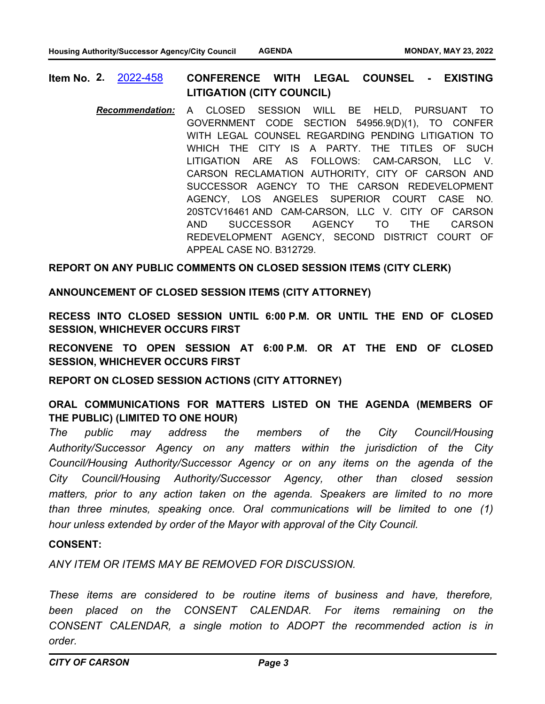**CONFERENCE WITH LEGAL COUNSEL - EXISTING LITIGATION (CITY COUNCIL) Item No. 2.** [2022-458](http://carson.legistar.com/gateway.aspx?m=l&id=/matter.aspx?key=10389)

*Recommendation:* A CLOSED SESSION WILL BE HELD, PURSUANT TO GOVERNMENT CODE SECTION 54956.9(D)(1), TO CONFER WITH LEGAL COUNSEL REGARDING PENDING LITIGATION TO WHICH THE CITY IS A PARTY. THE TITLES OF SUCH LITIGATION ARE AS FOLLOWS: CAM-CARSON, LLC V. CARSON RECLAMATION AUTHORITY, CITY OF CARSON AND SUCCESSOR AGENCY TO THE CARSON REDEVELOPMENT AGENCY, LOS ANGELES SUPERIOR COURT CASE NO. 20STCV16461 AND CAM-CARSON, LLC V. CITY OF CARSON AND SUCCESSOR AGENCY TO THE CARSON REDEVELOPMENT AGENCY, SECOND DISTRICT COURT OF APPEAL CASE NO. B312729.

#### **REPORT ON ANY PUBLIC COMMENTS ON CLOSED SESSION ITEMS (CITY CLERK)**

#### **ANNOUNCEMENT OF CLOSED SESSION ITEMS (CITY ATTORNEY)**

**RECESS INTO CLOSED SESSION UNTIL 6:00 P.M. OR UNTIL THE END OF CLOSED SESSION, WHICHEVER OCCURS FIRST**

**RECONVENE TO OPEN SESSION AT 6:00 P.M. OR AT THE END OF CLOSED SESSION, WHICHEVER OCCURS FIRST**

**REPORT ON CLOSED SESSION ACTIONS (CITY ATTORNEY)**

**ORAL COMMUNICATIONS FOR MATTERS LISTED ON THE AGENDA (MEMBERS OF THE PUBLIC) (LIMITED TO ONE HOUR)**

*The public may address the members of the City Council/Housing Authority/Successor Agency on any matters within the jurisdiction of the City Council/Housing Authority/Successor Agency or on any items on the agenda of the City Council/Housing Authority/Successor Agency, other than closed session matters, prior to any action taken on the agenda. Speakers are limited to no more than three minutes, speaking once. Oral communications will be limited to one (1) hour unless extended by order of the Mayor with approval of the City Council.*

#### **CONSENT:**

*ANY ITEM OR ITEMS MAY BE REMOVED FOR DISCUSSION.* 

*These items are considered to be routine items of business and have, therefore, been placed on the CONSENT CALENDAR. For items remaining on the CONSENT CALENDAR, a single motion to ADOPT the recommended action is in order.*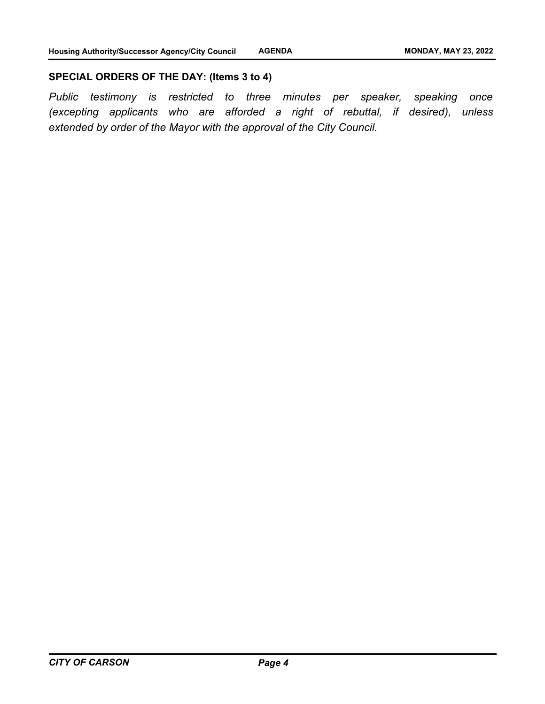#### **SPECIAL ORDERS OF THE DAY: (Items 3 to 4)**

*Public testimony is restricted to three minutes per speaker, speaking once (excepting applicants who are afforded a right of rebuttal, if desired), unless extended by order of the Mayor with the approval of the City Council.*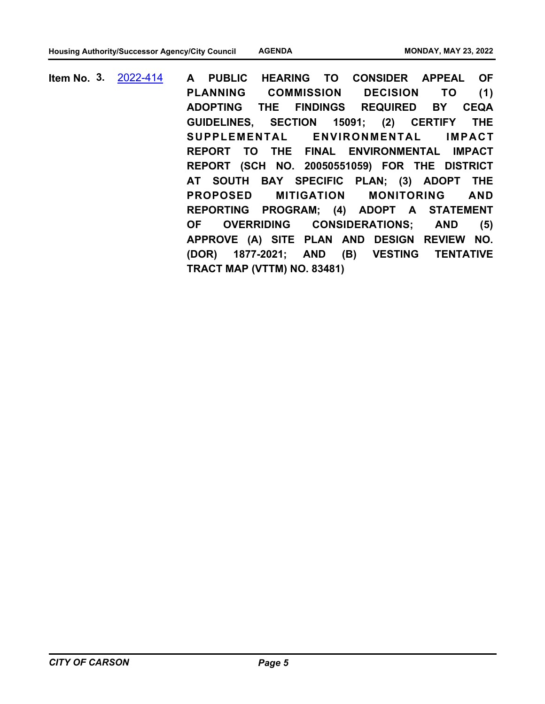**A PUBLIC HEARING TO CONSIDER APPEAL OF PLANNING COMMISSION DECISION TO (1) ADOPTING THE FINDINGS REQUIRED BY CEQA GUIDELINES, SECTION 15091; (2) CERTIFY THE SUPPLEMENTAL ENVIRONMENTAL IMPACT REPORT TO THE FINAL ENVIRONMENTAL IMPACT REPORT (SCH NO. 20050551059) FOR THE DISTRICT AT SOUTH BAY SPECIFIC PLAN; (3) ADOPT THE PROPOSED MITIGATION MONITORING AND REPORTING PROGRAM; (4) ADOPT A STATEMENT OF OVERRIDING CONSIDERATIONS; AND (5) APPROVE (A) SITE PLAN AND DESIGN REVIEW NO. (DOR) 1877-2021; AND (B) VESTING TENTATIVE TRACT MAP (VTTM) NO. 83481) Item No. 3.** [2022-414](http://carson.legistar.com/gateway.aspx?m=l&id=/matter.aspx?key=10347)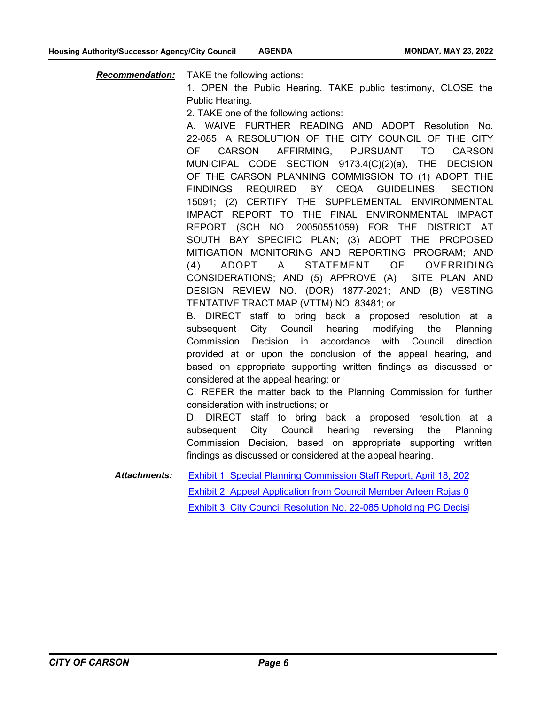*Recommendation:* TAKE the following actions:

1. OPEN the Public Hearing, TAKE public testimony, CLOSE the Public Hearing.

2. TAKE one of the following actions:

A. WAIVE FURTHER READING AND ADOPT Resolution No. 22-085, A RESOLUTION OF THE CITY COUNCIL OF THE CITY OF CARSON AFFIRMING, PURSUANT TO CARSON MUNICIPAL CODE SECTION 9173.4(C)(2)(a), THE DECISION OF THE CARSON PLANNING COMMISSION TO (1) ADOPT THE FINDINGS REQUIRED BY CEQA GUIDELINES, SECTION 15091; (2) CERTIFY THE SUPPLEMENTAL ENVIRONMENTAL IMPACT REPORT TO THE FINAL ENVIRONMENTAL IMPACT REPORT (SCH NO. 20050551059) FOR THE DISTRICT AT SOUTH BAY SPECIFIC PLAN; (3) ADOPT THE PROPOSED MITIGATION MONITORING AND REPORTING PROGRAM; AND (4) ADOPT A STATEMENT OF OVERRIDING CONSIDERATIONS; AND (5) APPROVE (A) SITE PLAN AND DESIGN REVIEW NO. (DOR) 1877-2021; AND (B) VESTING TENTATIVE TRACT MAP (VTTM) NO. 83481; or

B. DIRECT staff to bring back a proposed resolution at a subsequent City Council hearing modifying the Planning Commission Decision in accordance with Council direction provided at or upon the conclusion of the appeal hearing, and based on appropriate supporting written findings as discussed or considered at the appeal hearing; or

C. REFER the matter back to the Planning Commission for further consideration with instructions; or

D. DIRECT staff to bring back a proposed resolution at a subsequent City Council hearing reversing the Planning Commission Decision, based on appropriate supporting written findings as discussed or considered at the appeal hearing.

Exhibit 1 Special Planning Commission Staff Report, April 18, 202 Exhibit 2 Appeal Application from Council Member Arleen Rojas 0 Exhibit 3 City Council Resolution No. 22-085 Upholding PC Decisi *Attachments:*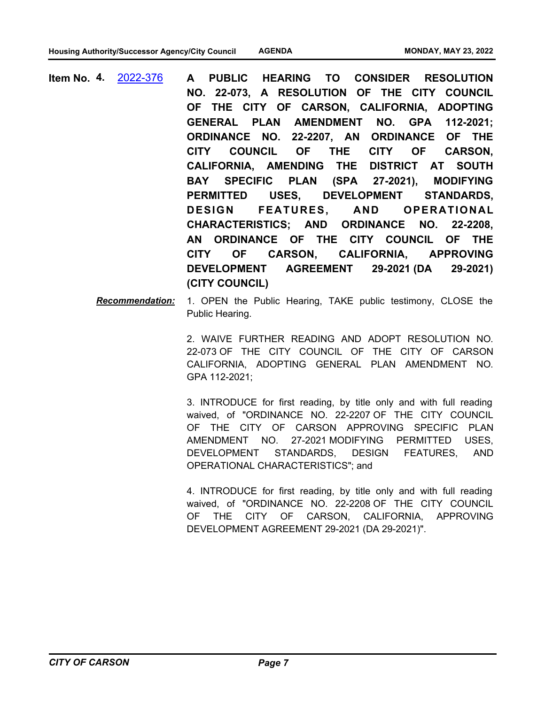- **A PUBLIC HEARING TO CONSIDER RESOLUTION NO. 22-073, A RESOLUTION OF THE CITY COUNCIL OF THE CITY OF CARSON, CALIFORNIA, ADOPTING GENERAL PLAN AMENDMENT NO. GPA 112-2021; ORDINANCE NO. 22-2207, AN ORDINANCE OF THE CITY COUNCIL OF THE CITY OF CARSON, CALIFORNIA, AMENDING THE DISTRICT AT SOUTH BAY SPECIFIC PLAN (SPA 27-2021), MODIFYING PERMITTED USES, DEVELOPMENT STANDARDS, DESIGN FEATURES, AND OPERATIONAL CHARACTERISTICS; AND ORDINANCE NO. 22-2208, AN ORDINANCE OF THE CITY COUNCIL OF THE CITY OF CARSON, CALIFORNIA, APPROVING DEVELOPMENT AGREEMENT 29-2021 (DA 29-2021) (CITY COUNCIL) Item No. 4.** [2022-376](http://carson.legistar.com/gateway.aspx?m=l&id=/matter.aspx?key=10307)
	- *Recommendation:* 1. OPEN the Public Hearing, TAKE public testimony, CLOSE the Public Hearing.

2. WAIVE FURTHER READING AND ADOPT RESOLUTION NO. 22-073 OF THE CITY COUNCIL OF THE CITY OF CARSON CALIFORNIA, ADOPTING GENERAL PLAN AMENDMENT NO. GPA 112-2021;

3. INTRODUCE for first reading, by title only and with full reading waived, of "ORDINANCE NO. 22-2207 OF THE CITY COUNCIL OF THE CITY OF CARSON APPROVING SPECIFIC PLAN AMENDMENT NO. 27-2021 MODIFYING PERMITTED USES, DEVELOPMENT STANDARDS, DESIGN FEATURES, AND OPERATIONAL CHARACTERISTICS"; and

4. INTRODUCE for first reading, by title only and with full reading waived, of "ORDINANCE NO. 22-2208 OF THE CITY COUNCIL OF THE CITY OF CARSON, CALIFORNIA, APPROVING DEVELOPMENT AGREEMENT 29-2021 (DA 29-2021)".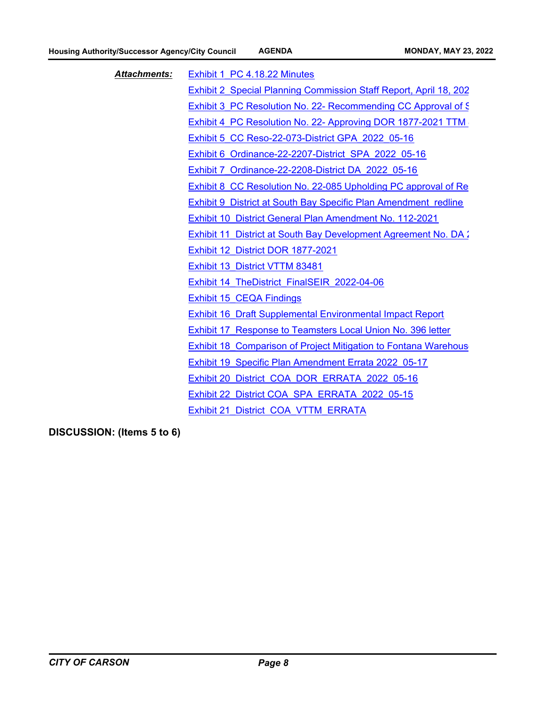| <b>Attachments:</b> | Exhibit 1 PC 4.18.22 Minutes                                           |
|---------------------|------------------------------------------------------------------------|
|                     | Exhibit 2 Special Planning Commission Staff Report, April 18, 202      |
|                     | Exhibit 3 PC Resolution No. 22- Recommending CC Approval of S          |
|                     | Exhibit 4 PC Resolution No. 22- Approving DOR 1877-2021 TTM            |
|                     | Exhibit 5 CC Reso-22-073-District GPA 2022 05-16                       |
|                     | Exhibit 6 Ordinance-22-2207-District SPA 2022 05-16                    |
|                     | Exhibit 7 Ordinance-22-2208-District DA 2022 05-16                     |
|                     | Exhibit 8 CC Resolution No. 22-085 Upholding PC approval of Re         |
|                     | Exhibit 9 District at South Bay Specific Plan Amendment redline        |
|                     | Exhibit 10 District General Plan Amendment No. 112-2021                |
|                     | Exhibit 11 District at South Bay Development Agreement No. DA:         |
|                     | Exhibit 12 District DOR 1877-2021                                      |
|                     | Exhibit 13 District VTTM 83481                                         |
|                     | Exhibit 14 TheDistrict_FinalSEIR_2022-04-06                            |
|                     | Exhibit 15 CEQA Findings                                               |
|                     | <b>Exhibit 16 Draft Supplemental Environmental Impact Report</b>       |
|                     | Exhibit 17 Response to Teamsters Local Union No. 396 letter            |
|                     | <b>Exhibit 18 Comparison of Project Mitigation to Fontana Warehous</b> |
|                     | Exhibit 19 Specific Plan Amendment Errata 2022 05-17                   |
|                     | Exhibit 20 District COA DOR ERRATA 2022 05-16                          |
|                     | Exhibit 22 District COA SPA ERRATA 2022 05-15                          |
|                     | Exhibit 21 District COA VTTM ERRATA                                    |
|                     |                                                                        |

**DISCUSSION: (Items 5 to 6)**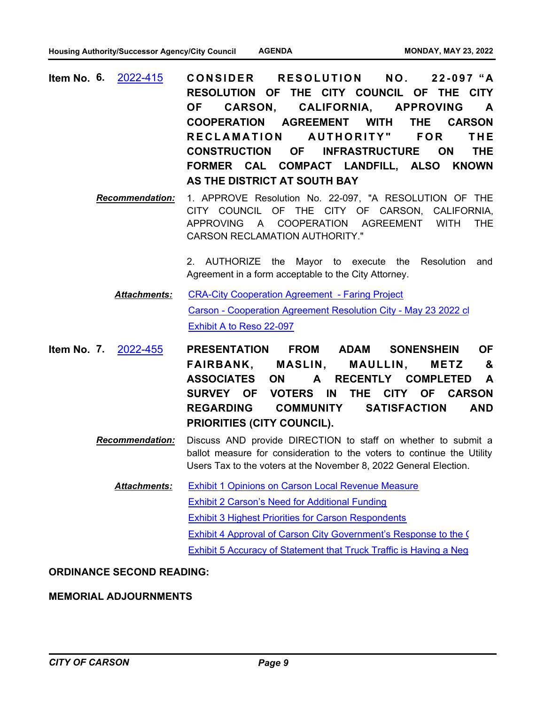- CONSIDER RESOLUTION NO. 22-097 "A **RESOLUTION OF THE CITY COUNCIL OF THE CITY OF CARSON, CALIFORNIA, APPROVING A COOPERATION AGREEMENT WITH THE CARSON**  RECLAMATION AUTHORITY" FOR THE **CONSTRUCTION OF INFRASTRUCTURE ON THE FORMER CAL COMPACT LANDFILL, ALSO KNOWN AS THE DISTRICT AT SOUTH BAY Item No. 6.** [2022-415](http://carson.legistar.com/gateway.aspx?m=l&id=/matter.aspx?key=10348)
	- *Recommendation:* 1. APPROVE Resolution No. 22-097, "A RESOLUTION OF THE CITY COUNCIL OF THE CITY OF CARSON, CALIFORNIA, APPROVING A COOPERATION AGREEMENT WITH THE CARSON RECLAMATION AUTHORITY."

2. AUTHORIZE the Mayor to execute the Resolution and Agreement in a form acceptable to the City Attorney.

- [CRA-City Cooperation Agreement Faring Project](http://carson.legistar.com/gateway.aspx?M=F&ID=7a5a8fc1-08f2-44e1-b0f1-653803a03ae0.pdf) [Carson - Cooperation Agreement Resolution City - May 23 2022 cl](http://carson.legistar.com/gateway.aspx?M=F&ID=72a5827f-1bef-479d-af77-840d1f8a9232.pdf) [Exhibit A to Reso 22-097](http://carson.legistar.com/gateway.aspx?M=F&ID=6d55e329-2142-4fa8-8b6a-085754271032.pdf) *Attachments:*
- **PRESENTATION FROM ADAM SONENSHEIN OF FAIRBANK, MASLIN, MAULLIN, METZ & ASSOCIATES ON A RECENTLY COMPLETED A SURVEY OF VOTERS IN THE CITY OF CARSON REGARDING COMMUNITY SATISFACTION AND PRIORITIES (CITY COUNCIL). Item No. 7.** [2022-455](http://carson.legistar.com/gateway.aspx?m=l&id=/matter.aspx?key=10386)
	- *Recommendation:* Discuss AND provide DIRECTION to staff on whether to submit a ballot measure for consideration to the voters to continue the Utility Users Tax to the voters at the November 8, 2022 General Election.
		- [Exhibit 1 Opinions on Carson Local Revenue Measure](http://carson.legistar.com/gateway.aspx?M=F&ID=dc6e1b8b-2054-40ce-8f3d-9c2816c59679.pdf) [Exhibit 2 Carson's Need for Additional Funding](http://carson.legistar.com/gateway.aspx?M=F&ID=3f564ae6-b238-4b45-a8e8-f1cc257f07b6.pdf) [Exhibit 3 Highest Priorities for Carson Respondents](http://carson.legistar.com/gateway.aspx?M=F&ID=9c6cf3b6-4e96-4364-a739-668ba1f6adc6.pdf) [Exhibit 4 Approval of Carson City Government's Response to the C](http://carson.legistar.com/gateway.aspx?M=F&ID=f93ed7ea-b4d8-4341-99c2-9c8526b212f7.pdf) [Exhibit 5 Accuracy of Statement that Truck Traffic is Having a Neg](http://carson.legistar.com/gateway.aspx?M=F&ID=b14b59f4-b562-4e01-9871-9cd3192e23f9.pdf) *Attachments:*

#### **ORDINANCE SECOND READING:**

#### **MEMORIAL ADJOURNMENTS**